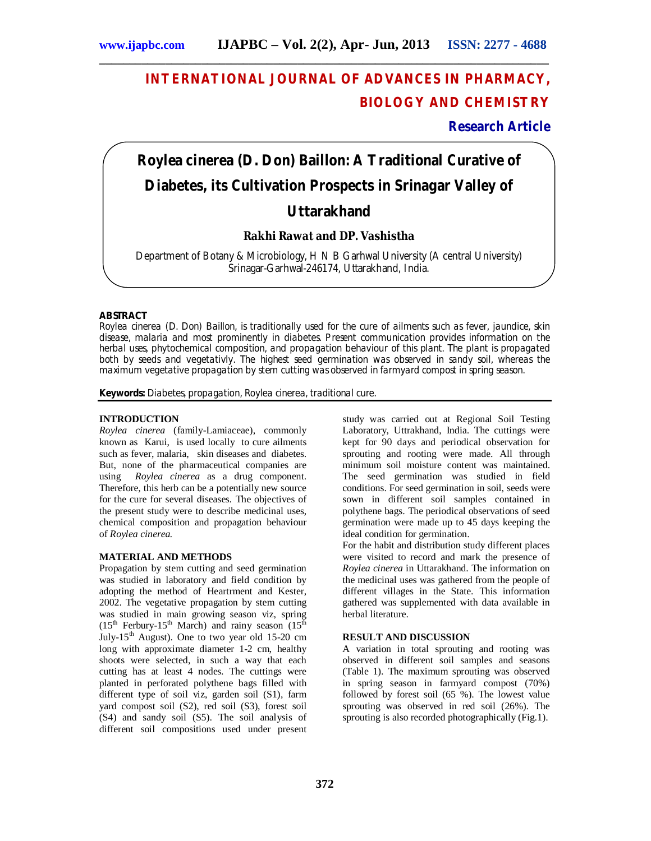## **INTERNATIONAL JOURNAL OF ADVANCES IN PHARMACY, BIOLOGY AND CHEMISTRY**

## **Research Article**

# *Roylea cinerea* **(D. Don) Baillon: A Traditional Curative of Diabetes, its Cultivation Prospects in Srinagar Valley of Uttarakhand**

### **Rakhi Rawat and DP. Vashistha**

Department of Botany & Microbiology, H N B Garhwal University (A central University) Srinagar-Garhwal-246174, Uttarakhand, India.

#### **ABSTRACT**

*Roylea cinerea* (D. Don) Baillon, is traditionally used for the cure of ailments such as fever, jaundice, skin disease, malaria and most prominently in diabetes. Present communication provides information on the herbal uses, phytochemical composition, and propagation behaviour of this plant. The plant is propagated both by seeds and vegetativly. The highest seed germination was observed in sandy soil, whereas the maximum vegetative propagation by stem cutting was observed in farmyard compost in spring season.

**Keywords:** Diabetes, propagation, *Roylea cinerea,* traditional cure.

#### **INTRODUCTION**

*Roylea cinerea* (family-Lamiaceae), commonly known as Karui, is used locally to cure ailments such as fever, malaria, skin diseases and diabetes. But, none of the pharmaceutical companies are using *Roylea cinerea* as a drug component. Therefore, this herb can be a potentially new source for the cure for several diseases. The objectives of the present study were to describe medicinal uses, chemical composition and propagation behaviour of *Roylea cinerea.* 

#### **MATERIAL AND METHODS**

Propagation by stem cutting and seed germination was studied in laboratory and field condition by adopting the method of Heartrment and Kester, 2002. The vegetative propagation by stem cutting was studied in main growing season viz, spring  $(15<sup>th</sup>$  Ferbury-15<sup>th</sup> March) and rainy season  $(15<sup>th</sup>$ July-15<sup>th</sup> August). One to two year old 15-20 cm long with approximate diameter 1-2 cm, healthy shoots were selected, in such a way that each cutting has at least 4 nodes. The cuttings were planted in perforated polythene bags filled with different type of soil viz, garden soil (S1), farm yard compost soil (S2), red soil (S3), forest soil (S4) and sandy soil (S5). The soil analysis of different soil compositions used under present

study was carried out at Regional Soil Testing Laboratory, Uttrakhand, India. The cuttings were kept for 90 days and periodical observation for sprouting and rooting were made. All through minimum soil moisture content was maintained. The seed germination was studied in field conditions. For seed germination in soil, seeds were sown in different soil samples contained in polythene bags. The periodical observations of seed germination were made up to 45 days keeping the ideal condition for germination.

For the habit and distribution study different places were visited to record and mark the presence of *Roylea cinerea* in Uttarakhand. The information on the medicinal uses was gathered from the people of different villages in the State. This information gathered was supplemented with data available in herbal literature.

#### **RESULT AND DISCUSSION**

A variation in total sprouting and rooting was observed in different soil samples and seasons (Table 1). The maximum sprouting was observed in spring season in farmyard compost (70%) followed by forest soil (65 %). The lowest value sprouting was observed in red soil (26%). The sprouting is also recorded photographically (Fig.1).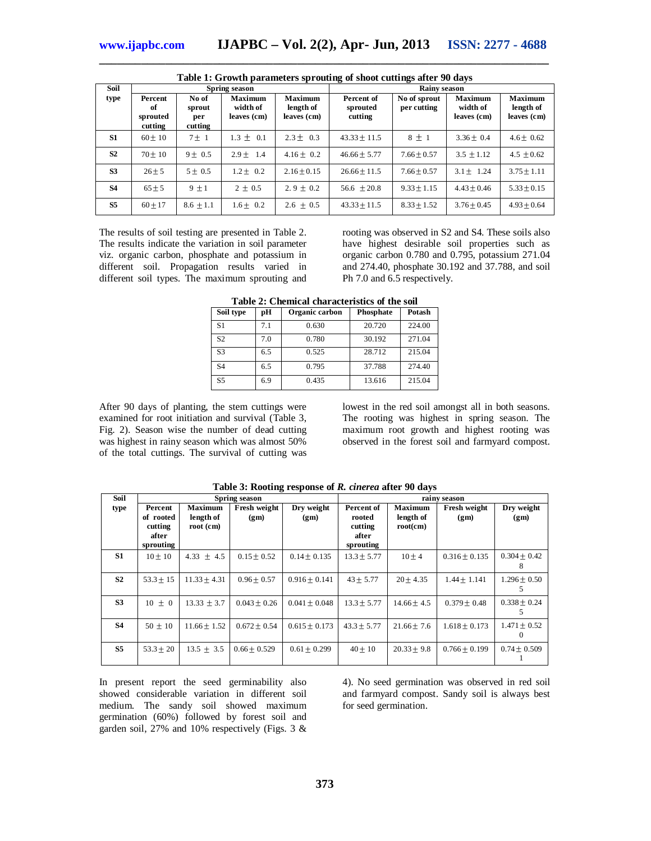| Table 1: Growth parameters sprouting of shoot cuttings after 90 days |                                      |                                   |                                           |                                            |                                   |                             |                                           |                                            |
|----------------------------------------------------------------------|--------------------------------------|-----------------------------------|-------------------------------------------|--------------------------------------------|-----------------------------------|-----------------------------|-------------------------------------------|--------------------------------------------|
| <b>Soil</b>                                                          | Spring season                        |                                   |                                           | <b>Rainv season</b>                        |                                   |                             |                                           |                                            |
| type                                                                 | Percent<br>of<br>sprouted<br>cutting | No of<br>sprout<br>per<br>cutting | <b>Maximum</b><br>width of<br>leaves (cm) | <b>Maximum</b><br>length of<br>leaves (cm) | Percent of<br>sprouted<br>cutting | No of sprout<br>per cutting | <b>Maximum</b><br>width of<br>leaves (cm) | <b>Maximum</b><br>length of<br>leaves (cm) |
| S <sub>1</sub>                                                       | $60 + 10$                            | $7 + 1$                           | $1.3 + 0.1$                               | $2.3 + 0.3$                                | $43.33 + 11.5$                    | $8 + 1$                     | $3.36 + 0.4$                              | $4.6 + 0.62$                               |
| S <sub>2</sub>                                                       | $70 \pm 10$                          | $9 \pm 0.5$                       | $2.9 \pm 1.4$                             | $4.16 \pm 0.2$                             | $46.66 \pm 5.77$                  | $7.66 \pm 0.57$             | $3.5 \pm 1.12$                            | $4.5 \pm 0.62$                             |

**S3** 26 5 5 0.5 1.2 0.2 2.16 0.15 26.66 11.5 7.66 0.57 3.1 1.24 3.75 1.11 **S4**  $\begin{array}{|c|c|c|c|c|c|c|} \hline \textbf{S4} & \textbf{S5} & \textbf{S6} & \textbf{S6} & \textbf{S6} & \textbf{S6} & \textbf{S6} & \textbf{S6} & \textbf{S6} & \textbf{S6} & \textbf{S6} & \textbf{S6} & \textbf{S6} & \textbf{S6} & \textbf{S6} & \textbf{S6} & \textbf{S6} & \textbf{S6} & \textbf{S6} & \textbf{S6} & \textbf{S6} & \textbf{S6} & \textbf{S6} & \textbf{S6}$ **S5** 60 17 8.6 1.1 1.6 0.2 2.6 0.5 43.33 11.5 8.33 1.52 3.76 0.45 4.93 0.64

**\_\_\_\_\_\_\_\_\_\_\_\_\_\_\_\_\_\_\_\_\_\_\_\_\_\_\_\_\_\_\_\_\_\_\_\_\_\_\_\_\_\_\_\_\_\_\_\_\_\_\_\_\_\_\_\_\_\_\_\_\_\_\_\_\_\_\_\_\_\_\_\_\_\_\_**

The results of soil testing are presented in Table 2. The results indicate the variation in soil parameter viz. organic carbon, phosphate and potassium in different soil. Propagation results varied in different soil types. The maximum sprouting and

rooting was observed in S2 and S4. These soils also have highest desirable soil properties such as organic carbon 0.780 and 0.795, potassium 271.04 and 274.40, phosphate 30.192 and 37.788, and soil Ph 7.0 and 6.5 respectively.

**Table 2: Chemical characteristics of the soil**

| Soil type      | pН  | Organic carbon | Phosphate | Potash |
|----------------|-----|----------------|-----------|--------|
| S1             | 7.1 | 0.630          | 20.720    | 224.00 |
| S <sub>2</sub> | 7.0 | 0.780          | 30.192    | 271.04 |
| S <sub>3</sub> | 6.5 | 0.525          | 28.712    | 215.04 |
| S4             | 6.5 | 0.795          | 37.788    | 274.40 |
| S <sub>5</sub> | 6.9 | 0.435          | 13.616    | 215.04 |

After 90 days of planting, the stem cuttings were examined for root initiation and survival (Table 3, Fig. 2). Season wise the number of dead cutting was highest in rainy season which was almost 50% of the total cuttings. The survival of cutting was

lowest in the red soil amongst all in both seasons. The rooting was highest in spring season. The maximum root growth and highest rooting was observed in the forest soil and farmyard compost.

| Soil           |                                                       |                                          | Spring season        |                    | rainv season                                          |                                  |                             |                              |
|----------------|-------------------------------------------------------|------------------------------------------|----------------------|--------------------|-------------------------------------------------------|----------------------------------|-----------------------------|------------------------------|
| type           | Percent<br>of rooted<br>cutting<br>after<br>sprouting | <b>Maximum</b><br>length of<br>root (cm) | Fresh weight<br>(gm) | Dry weight<br>(gm) | Percent of<br>rooted<br>cutting<br>after<br>sprouting | Maximum<br>length of<br>root(cm) | <b>Fresh weight</b><br>(gm) | Dry weight<br>(gm)           |
| S1             | $10 \pm 10$                                           | $4.33 \pm 4.5$                           | $0.15 \pm 0.52$      | $0.14 \pm 0.135$   | $13.3 \pm 5.77$                                       | $10 + 4$                         | $0.316 \pm 0.135$           | $0.304 \pm 0.42$<br>8        |
| S <sub>2</sub> | $53.3 + 15$                                           | $11.33 + 4.31$                           | $0.96 + 0.57$        | $0.916 \pm 0.141$  | $43 \pm 5.77$                                         | $20 \pm 4.35$                    | $1.44 \pm 1.141$            | $1.296 \pm 0.50$             |
| S <sub>3</sub> | $10 + 0$                                              | $13.33 \pm 3.7$                          | $0.043 + 0.26$       | $0.041 \pm 0.048$  | $13.3 \pm 5.77$                                       | $14.66 \pm 4.5$                  | $0.379 \pm 0.48$            | $0.338 \pm 0.24$             |
| <b>S4</b>      | $50 \pm 10$                                           | $11.66 \pm 1.52$                         | $0.672 \pm 0.54$     | $0.615 \pm 0.173$  | $43.3 \pm 5.77$                                       | $21.66 \pm 7.6$                  | $1.618 \pm 0.173$           | $1.471 \pm 0.52$<br>$\Omega$ |
| S <sub>5</sub> | $53.3 + 20$                                           | $13.5 \pm 3.5$                           | $0.66 + 0.529$       | $0.61 \pm 0.299$   | $40 \pm 10$                                           | $20.33 + 9.8$                    | $0.766 \pm 0.199$           | $0.74 \pm 0.509$             |

**Table 3: Rooting response of** *R. cinerea* **after 90 days**

In present report the seed germinability also showed considerable variation in different soil medium. The sandy soil showed maximum germination (60%) followed by forest soil and garden soil, 27% and 10% respectively (Figs. 3 &

4). No seed germination was observed in red soil and farmyard compost. Sandy soil is always best for seed germination.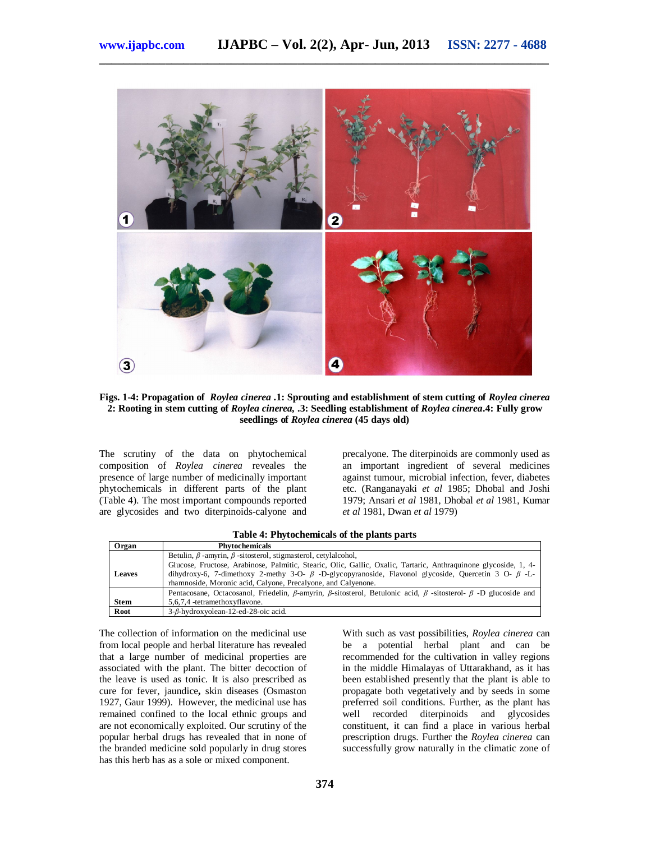

**Figs. 1-4: Propagation of** *Roylea cinerea* **.1: Sprouting and establishment of stem cutting of** *Roylea cinerea* **2: Rooting in stem cutting of** *Roylea cinerea,* **.3: Seedling establishment of** *Roylea cinerea***.4: Fully grow seedlings of** *Roylea cinerea* **(45 days old)**

The scrutiny of the data on phytochemical composition of *Roylea cinerea* reveales the presence of large number of medicinally important phytochemicals in different parts of the plant (Table 4). The most important compounds reported are glycosides and two diterpinoids-calyone and

precalyone. The diterpinoids are commonly used as an important ingredient of several medicines against tumour, microbial infection, fever, diabetes etc. (Ranganayaki *et al* 1985; Dhobal and Joshi 1979; Ansari *et al* 1981, Dhobal *et al* 1981, Kumar *et al* 1981, Dwan *et al* 1979)

**Table 4: Phytochemicals of the plants parts**

| Organ         | <b>Phytochemicals</b>                                                                                                                                                                         |
|---------------|-----------------------------------------------------------------------------------------------------------------------------------------------------------------------------------------------|
|               | Betulin, $\beta$ -amyrin, $\beta$ -sitosterol, stigmasterol, cetylalcohol,<br>Glucose, Fructose, Arabinose, Palmitic, Stearic, Olic, Gallic, Oxalic, Tartaric, Anthraquinone glycoside, 1, 4- |
| <b>Leaves</b> | dihydroxy-6, 7-dimethoxy 2-methy 3-O- $\beta$ -D-glycopyranoside, Flavonol glycoside, Quercetin 3 O- $\beta$ -L-<br>rhamnoside, Moronic acid, Calyone, Precalyone, and Calyenone.             |
|               | Pentacosane, Octacosanol, Friedelin, $\beta$ -amyrin, $\beta$ -sitosterol, Betulonic acid, $\beta$ -sitosterol- $\beta$ -D glucoside and                                                      |
| Stem          | 5.6.7.4 -tetramethoxyflavone.                                                                                                                                                                 |
| Root          | 3- <i>B</i> -hydroxyolean-12-ed-28-oic acid.                                                                                                                                                  |

The collection of information on the medicinal use from local people and herbal literature has revealed that a large number of medicinal properties are associated with the plant. The bitter decoction of the leave is used as tonic. It is also prescribed as cure for fever, jaundice**,** skin diseases (Osmaston 1927, Gaur 1999). However, the medicinal use has remained confined to the local ethnic groups and are not economically exploited. Our scrutiny of the popular herbal drugs has revealed that in none of the branded medicine sold popularly in drug stores has this herb has as a sole or mixed component.

With such as vast possibilities, *Roylea cinerea* can be a potential herbal plant and can be recommended for the cultivation in valley regions in the middle Himalayas of Uttarakhand, as it has been established presently that the plant is able to propagate both vegetatively and by seeds in some preferred soil conditions. Further, as the plant has well recorded diterpinoids and glycosides constituent, it can find a place in various herbal prescription drugs. Further the *Roylea cinerea* can successfully grow naturally in the climatic zone of